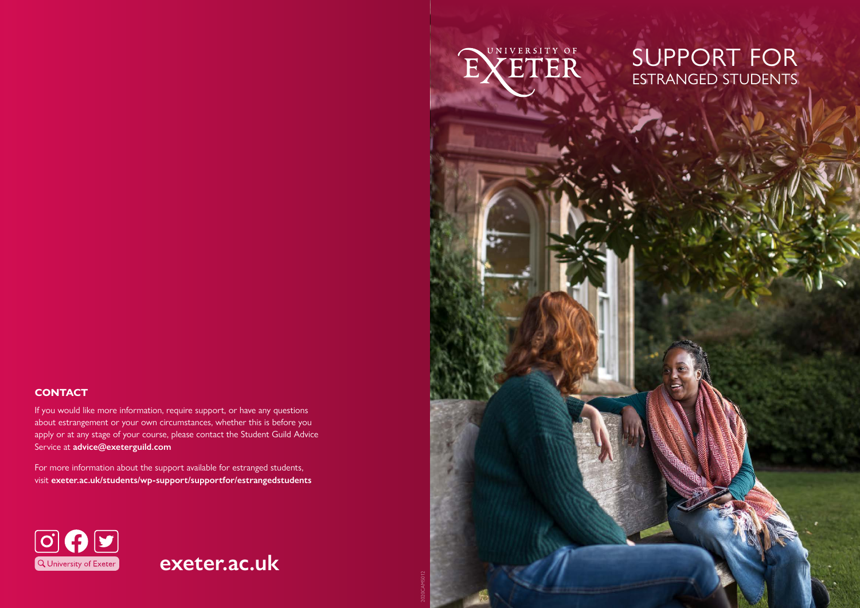### **CONTACT**

If you would like more information, require support, or have any questions about estrangement or your own circumstances, whether this is before you apply or at any stage of your course, please contact the Student Guild Advice Service at **[advice@exeterguild.com](mailto:advice@exeterguild.com)**

For more information about the support available for estranged students, visit **[exeter.ac.uk/students/wp-support/supportfor/estrangedstudents](http://exeter.ac.uk/students/wp-support/supportfor/estrangedstudents)**



## **exeter.ac.uk**

2020CAMS012



## SUPPORT FOR ESTRANGED STUDENTS